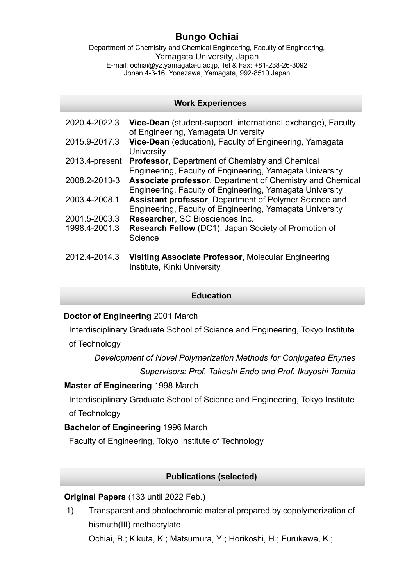# **Bungo Ochiai**

Department of Chemistry and Chemical Engineering, Faculty of Engineering, Yamagata University, Japan E-mail: ochiai@yz.yamagata-u.ac.jp, Tel & Fax: +81-238-26-3092 Jonan 4-3-16, Yonezawa, Yamagata, 992-8510 Japan

#### **Work Experiences**

| 2020.4-2022.3  | Vice-Dean (student-support, international exchange), Faculty<br>of Engineering, Yamagata University                   |
|----------------|-----------------------------------------------------------------------------------------------------------------------|
| 2015.9-2017.3  | Vice-Dean (education), Faculty of Engineering, Yamagata<br>University                                                 |
| 2013.4-present | <b>Professor, Department of Chemistry and Chemical</b><br>Engineering, Faculty of Engineering, Yamagata University    |
| 2008.2-2013-3  | Associate professor, Department of Chemistry and Chemical<br>Engineering, Faculty of Engineering, Yamagata University |
| 2003.4-2008.1  | Assistant professor, Department of Polymer Science and<br>Engineering, Faculty of Engineering, Yamagata University    |
| 2001.5-2003.3  | Researcher, SC Biosciences Inc.                                                                                       |
| 1998.4-2001.3  | <b>Research Fellow</b> (DC1), Japan Society of Promotion of<br>Science                                                |
| 2012.4-2014.3  | <b>Visiting Associate Professor, Molecular Engineering</b><br>Institute, Kinki University                             |

#### **Education**

## **Doctor of Engineering** 2001 March

Interdisciplinary Graduate School of Science and Engineering, Tokyo Institute of Technology

*Development of Novel Polymerization Methods for Conjugated Enynes Supervisors: Prof. Takeshi Endo and Prof. Ikuyoshi Tomita*

## **Master of Engineering** 1998 March

Interdisciplinary Graduate School of Science and Engineering, Tokyo Institute of Technology

## **Bachelor of Engineering** 1996 March

Faculty of Engineering, Tokyo Institute of Technology

## **Publications (selected)**

## **Original Papers** (133 until 2022 Feb.)

1) Transparent and photochromic material prepared by copolymerization of bismuth(III) methacrylate

Ochiai, B.; Kikuta, K.; Matsumura, Y.; Horikoshi, H.; Furukawa, K.;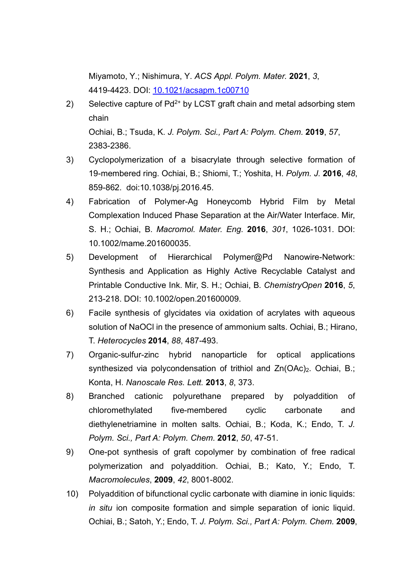Miyamoto, Y.; Nishimura, Y. *ACS Appl. Polym. Mater.* **2021**, *3*, 4419-4423. DOI: 10.1021/acsapm.1c00710

- 2) Selective capture of  $Pd^{2+}$  by LCST graft chain and metal adsorbing stem chain Ochiai, B.; Tsuda, K. *J. Polym. Sci., Part A: Polym. Chem.* **2019**, *57*, 2383-2386.
- 3) Cyclopolymerization of a bisacrylate through selective formation of 19-membered ring. Ochiai, B.; Shiomi, T.; Yoshita, H. *Polym. J.* **2016**, *48*, 859-862. doi:10.1038/pj.2016.45.
- 4) Fabrication of Polymer-Ag Honeycomb Hybrid Film by Metal Complexation Induced Phase Separation at the Air/Water Interface. Mir, S. H.; Ochiai, B. *Macromol. Mater. Eng.* **2016**, *301*, 1026-1031. DOI: 10.1002/mame.201600035.
- 5) Development of Hierarchical Polymer@Pd Nanowire-Network: Synthesis and Application as Highly Active Recyclable Catalyst and Printable Conductive Ink. Mir, S. H.; Ochiai, B. *ChemistryOpen* **2016**, *5*, 213-218. DOI: 10.1002/open.201600009.
- 6) Facile synthesis of glycidates via oxidation of acrylates with aqueous solution of NaOCl in the presence of ammonium salts. Ochiai, B.; Hirano, T. *Heterocycles* **2014**, *88*, 487-493.
- 7) Organic-sulfur-zinc hybrid nanoparticle for optical applications synthesized via polycondensation of trithiol and Zn(OAc)<sub>2</sub>. Ochiai, B.; Konta, H. *Nanoscale Res. Lett.* **2013**, *8*, 373.
- 8) Branched cationic polyurethane prepared by polyaddition of chloromethylated five-membered cyclic carbonate and diethylenetriamine in molten salts. Ochiai, B.; Koda, K.; Endo, T. *J. Polym. Sci., Part A: Polym. Chem.* **2012**, *50*, 47-51.
- 9) One-pot synthesis of graft copolymer by combination of free radical polymerization and polyaddition. Ochiai, B.; Kato, Y.; Endo, T. *Macromolecules*, **2009**, *42*, 8001-8002.
- 10) Polyaddition of bifunctional cyclic carbonate with diamine in ionic liquids: *in situ* ion composite formation and simple separation of ionic liquid. Ochiai, B.; Satoh, Y.; Endo, T. *J. Polym. Sci., Part A: Polym. Chem.* **2009**,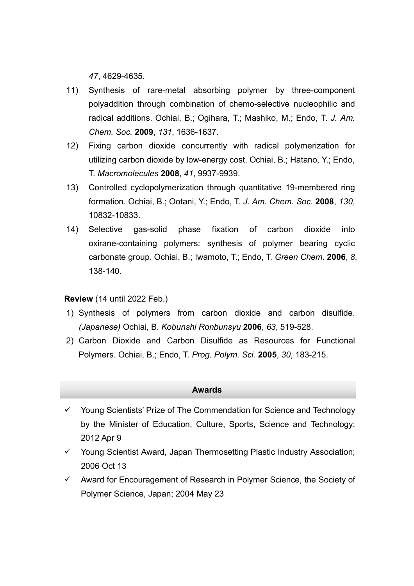*47*, 4629-4635.

- 11) Synthesis of rare-metal absorbing polymer by three-component polyaddition through combination of chemo-selective nucleophilic and radical additions. Ochiai, B.; Ogihara, T.; Mashiko, M.; Endo, T. *J. Am. Chem. Soc.* **2009**, *131*, 1636-1637.
- 12) Fixing carbon dioxide concurrently with radical polymerization for utilizing carbon dioxide by low-energy cost. Ochiai, B.; Hatano, Y.; Endo, T. *Macromolecules* **2008**, *41*, 9937-9939.
- 13) Controlled cyclopolymerization through quantitative 19-membered ring formation. Ochiai, B.; Ootani, Y.; Endo, T. *J. Am. Chem. Soc.* **2008**, *130*, 10832-10833.
- 14) Selective gas-solid phase fixation of carbon dioxide into oxirane-containing polymers: synthesis of polymer bearing cyclic carbonate group. Ochiai, B.; Iwamoto, T.; Endo, T. *Green Chem.* **2006**, *8*, 138-140.

**Review** (14 until 2022 Feb.)

- 1) Synthesis of polymers from carbon dioxide and carbon disulfide. *(Japanese)* Ochiai, B. *Kobunshi Ronbunsyu* **2006**, *63*, 519-528.
- 2) Carbon Dioxide and Carbon Disulfide as Resources for Functional Polymers. Ochiai, B.; Endo, T. *Prog. Polym. Sci.* **2005**, *30*, 183-215.

#### **Awards**

- $\checkmark$  Young Scientists' Prize of The Commendation for Science and Technology by the Minister of Education, Culture, Sports, Science and Technology; 2012 Apr 9
- Young Scientist Award, Japan Thermosetting Plastic Industry Association; 2006 Oct 13
- $\checkmark$  Award for Encouragement of Research in Polymer Science, the Society of Polymer Science, Japan; 2004 May 23